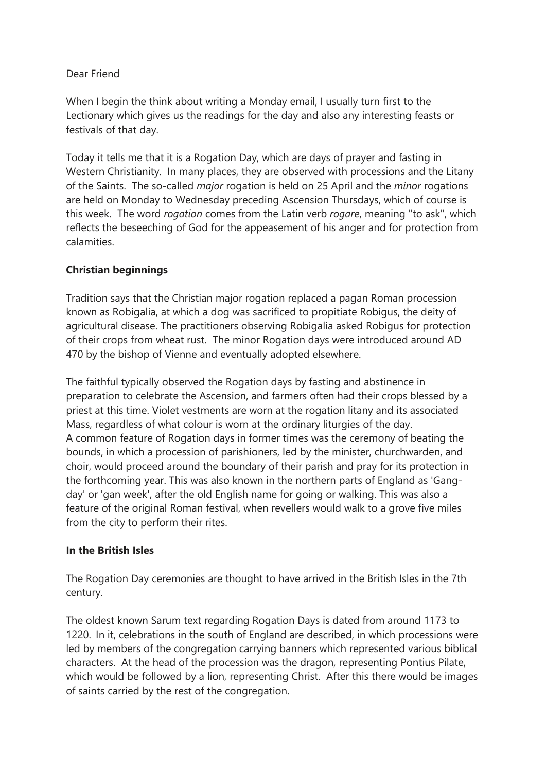## Dear Friend

When I begin the think about writing a Monday email, I usually turn first to the Lectionary which gives us the readings for the day and also any interesting feasts or festivals of that day.

Today it tells me that it is a Rogation Day, which are days of prayer and fasting in Western Christianity. In many places, they are observed with processions and the Litany of the Saints. The so-called *major* rogation is held on 25 April and the *minor* rogations are held on Monday to Wednesday preceding Ascension Thursdays, which of course is this week. The word *rogation* comes from the Latin verb *rogare*, meaning "to ask", which reflects the beseeching of God for the appeasement of his anger and for protection from calamities.

## **Christian beginnings**

Tradition says that the Christian major rogation replaced a pagan Roman procession known as Robigalia, at which a dog was sacrificed to propitiate Robigus, the deity of agricultural disease. The practitioners observing Robigalia asked Robigus for protection of their crops from wheat rust. The minor Rogation days were introduced around AD 470 by the bishop of Vienne and eventually adopted elsewhere.

The faithful typically observed the Rogation days by fasting and abstinence in preparation to celebrate the Ascension, and farmers often had their crops blessed by a priest at this time. Violet vestments are worn at the rogation litany and its associated Mass, regardless of what colour is worn at the ordinary liturgies of the day. A common feature of Rogation days in former times was the ceremony of beating the bounds, in which a procession of parishioners, led by the minister, churchwarden, and choir, would proceed around the boundary of their parish and pray for its protection in the forthcoming year. This was also known in the northern parts of England as 'Gangday' or 'gan week', after the old English name for going or walking. This was also a feature of the original Roman festival, when revellers would walk to a grove five miles from the city to perform their rites.

## **In the British Isles**

The Rogation Day ceremonies are thought to have arrived in the British Isles in the 7th century.

The oldest known Sarum text regarding Rogation Days is dated from around 1173 to 1220. In it, celebrations in the south of England are described, in which processions were led by members of the congregation carrying banners which represented various biblical characters. At the head of the procession was the dragon, representing Pontius Pilate, which would be followed by a lion, representing Christ. After this there would be images of saints carried by the rest of the congregation.